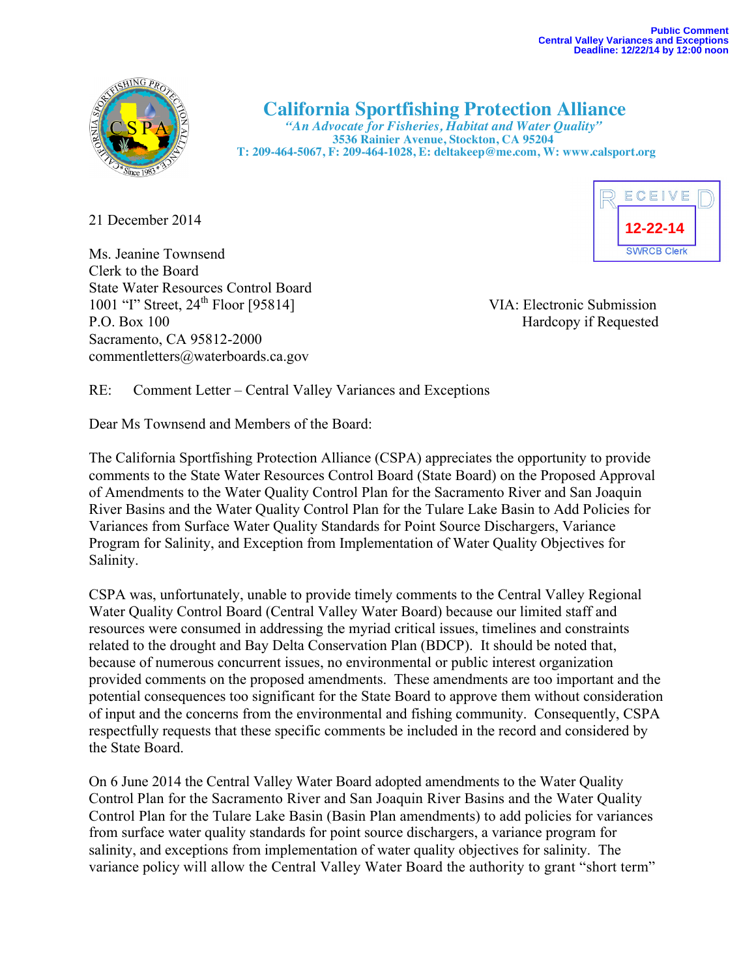

# **California Sportfishing Protection Alliance** *"An Advocate for Fisheries, Habitat and Water Quality"*

 **3536 Rainier Avenue, Stockton, CA 95204 T: 209-464-5067, F: 209-464-1028, E: deltakeep@me.com, W: www.calsport.org**

21 December 2014

Ms. Jeanine Townsend Clerk to the Board State Water Resources Control Board 1001 "I" Street, 24<sup>th</sup> Floor [95814] VIA: Electronic Submission P.O. Box 100 Hardcopy if Requested Sacramento, CA 95812-2000 commentletters@waterboards.ca.gov

ECEIVE **12-22-14SWRCB Clerk** 

RE: Comment Letter – Central Valley Variances and Exceptions

Dear Ms Townsend and Members of the Board:

The California Sportfishing Protection Alliance (CSPA) appreciates the opportunity to provide comments to the State Water Resources Control Board (State Board) on the Proposed Approval of Amendments to the Water Quality Control Plan for the Sacramento River and San Joaquin River Basins and the Water Quality Control Plan for the Tulare Lake Basin to Add Policies for Variances from Surface Water Quality Standards for Point Source Dischargers, Variance Program for Salinity, and Exception from Implementation of Water Quality Objectives for Salinity.

CSPA was, unfortunately, unable to provide timely comments to the Central Valley Regional Water Quality Control Board (Central Valley Water Board) because our limited staff and resources were consumed in addressing the myriad critical issues, timelines and constraints related to the drought and Bay Delta Conservation Plan (BDCP). It should be noted that, because of numerous concurrent issues, no environmental or public interest organization provided comments on the proposed amendments. These amendments are too important and the potential consequences too significant for the State Board to approve them without consideration of input and the concerns from the environmental and fishing community. Consequently, CSPA respectfully requests that these specific comments be included in the record and considered by the State Board.

On 6 June 2014 the Central Valley Water Board adopted amendments to the Water Quality Control Plan for the Sacramento River and San Joaquin River Basins and the Water Quality Control Plan for the Tulare Lake Basin (Basin Plan amendments) to add policies for variances from surface water quality standards for point source dischargers, a variance program for salinity, and exceptions from implementation of water quality objectives for salinity. The variance policy will allow the Central Valley Water Board the authority to grant "short term"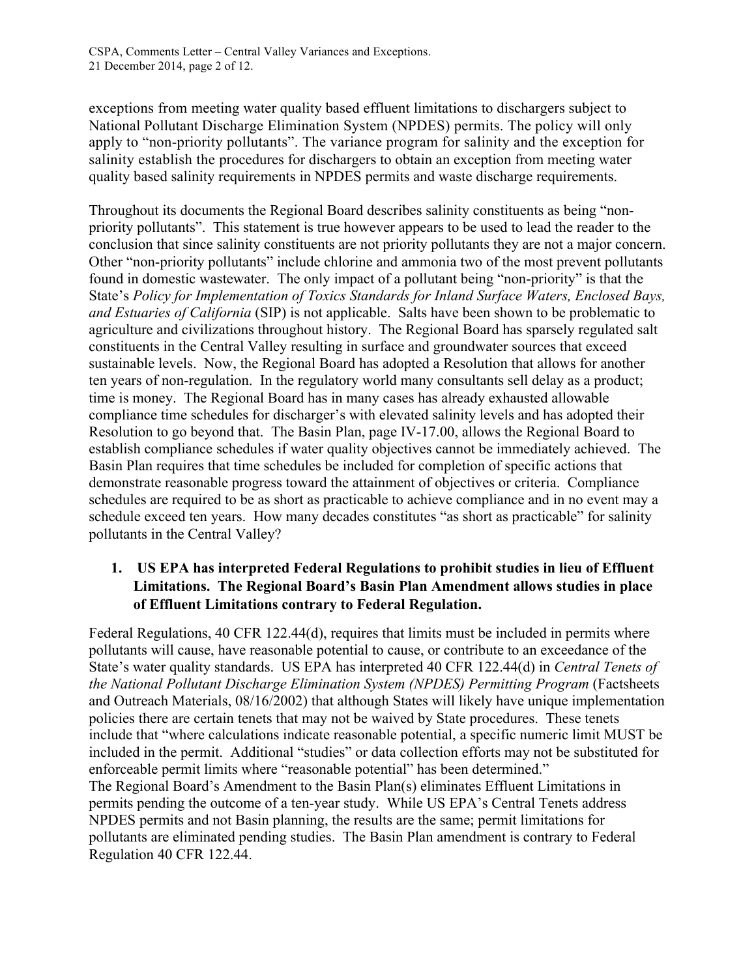exceptions from meeting water quality based effluent limitations to dischargers subject to National Pollutant Discharge Elimination System (NPDES) permits. The policy will only apply to "non-priority pollutants". The variance program for salinity and the exception for salinity establish the procedures for dischargers to obtain an exception from meeting water quality based salinity requirements in NPDES permits and waste discharge requirements.

Throughout its documents the Regional Board describes salinity constituents as being "nonpriority pollutants". This statement is true however appears to be used to lead the reader to the conclusion that since salinity constituents are not priority pollutants they are not a major concern. Other "non-priority pollutants" include chlorine and ammonia two of the most prevent pollutants found in domestic wastewater. The only impact of a pollutant being "non-priority" is that the State's *Policy for Implementation of Toxics Standards for Inland Surface Waters, Enclosed Bays, and Estuaries of California* (SIP) is not applicable. Salts have been shown to be problematic to agriculture and civilizations throughout history. The Regional Board has sparsely regulated salt constituents in the Central Valley resulting in surface and groundwater sources that exceed sustainable levels. Now, the Regional Board has adopted a Resolution that allows for another ten years of non-regulation. In the regulatory world many consultants sell delay as a product; time is money. The Regional Board has in many cases has already exhausted allowable compliance time schedules for discharger's with elevated salinity levels and has adopted their Resolution to go beyond that. The Basin Plan, page IV-17.00, allows the Regional Board to establish compliance schedules if water quality objectives cannot be immediately achieved. The Basin Plan requires that time schedules be included for completion of specific actions that demonstrate reasonable progress toward the attainment of objectives or criteria. Compliance schedules are required to be as short as practicable to achieve compliance and in no event may a schedule exceed ten years. How many decades constitutes "as short as practicable" for salinity pollutants in the Central Valley?

## **1. US EPA has interpreted Federal Regulations to prohibit studies in lieu of Effluent Limitations. The Regional Board's Basin Plan Amendment allows studies in place of Effluent Limitations contrary to Federal Regulation.**

Federal Regulations, 40 CFR 122.44(d), requires that limits must be included in permits where pollutants will cause, have reasonable potential to cause, or contribute to an exceedance of the State's water quality standards. US EPA has interpreted 40 CFR 122.44(d) in *Central Tenets of the National Pollutant Discharge Elimination System (NPDES) Permitting Program* (Factsheets and Outreach Materials, 08/16/2002) that although States will likely have unique implementation policies there are certain tenets that may not be waived by State procedures. These tenets include that "where calculations indicate reasonable potential, a specific numeric limit MUST be included in the permit. Additional "studies" or data collection efforts may not be substituted for enforceable permit limits where "reasonable potential" has been determined." The Regional Board's Amendment to the Basin Plan(s) eliminates Effluent Limitations in permits pending the outcome of a ten-year study. While US EPA's Central Tenets address NPDES permits and not Basin planning, the results are the same; permit limitations for pollutants are eliminated pending studies. The Basin Plan amendment is contrary to Federal Regulation 40 CFR 122.44.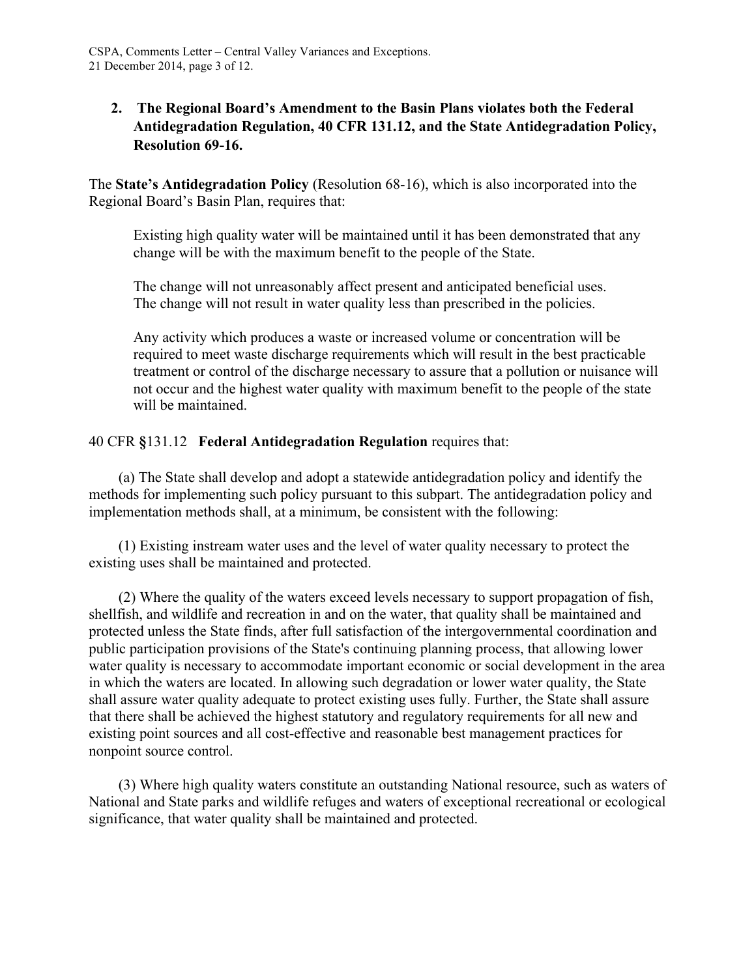## **2. The Regional Board's Amendment to the Basin Plans violates both the Federal Antidegradation Regulation, 40 CFR 131.12, and the State Antidegradation Policy, Resolution 69-16.**

The **State's Antidegradation Policy** (Resolution 68-16), which is also incorporated into the Regional Board's Basin Plan, requires that:

Existing high quality water will be maintained until it has been demonstrated that any change will be with the maximum benefit to the people of the State.

The change will not unreasonably affect present and anticipated beneficial uses. The change will not result in water quality less than prescribed in the policies.

Any activity which produces a waste or increased volume or concentration will be required to meet waste discharge requirements which will result in the best practicable treatment or control of the discharge necessary to assure that a pollution or nuisance will not occur and the highest water quality with maximum benefit to the people of the state will be maintained.

#### 40 CFR **§**131.12 **Federal Antidegradation Regulation** requires that:

(a) The State shall develop and adopt a statewide antidegradation policy and identify the methods for implementing such policy pursuant to this subpart. The antidegradation policy and implementation methods shall, at a minimum, be consistent with the following:

(1) Existing instream water uses and the level of water quality necessary to protect the existing uses shall be maintained and protected.

(2) Where the quality of the waters exceed levels necessary to support propagation of fish, shellfish, and wildlife and recreation in and on the water, that quality shall be maintained and protected unless the State finds, after full satisfaction of the intergovernmental coordination and public participation provisions of the State's continuing planning process, that allowing lower water quality is necessary to accommodate important economic or social development in the area in which the waters are located. In allowing such degradation or lower water quality, the State shall assure water quality adequate to protect existing uses fully. Further, the State shall assure that there shall be achieved the highest statutory and regulatory requirements for all new and existing point sources and all cost-effective and reasonable best management practices for nonpoint source control.

(3) Where high quality waters constitute an outstanding National resource, such as waters of National and State parks and wildlife refuges and waters of exceptional recreational or ecological significance, that water quality shall be maintained and protected.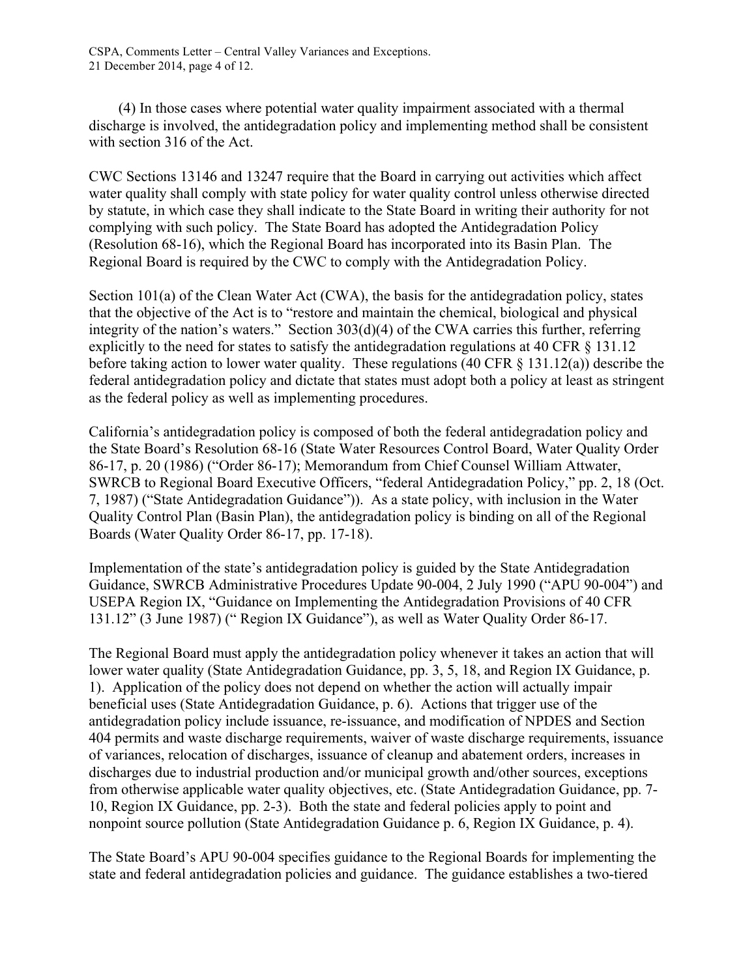CSPA, Comments Letter – Central Valley Variances and Exceptions. 21 December 2014, page 4 of 12.

(4) In those cases where potential water quality impairment associated with a thermal discharge is involved, the antidegradation policy and implementing method shall be consistent with section 316 of the Act.

CWC Sections 13146 and 13247 require that the Board in carrying out activities which affect water quality shall comply with state policy for water quality control unless otherwise directed by statute, in which case they shall indicate to the State Board in writing their authority for not complying with such policy. The State Board has adopted the Antidegradation Policy (Resolution 68-16), which the Regional Board has incorporated into its Basin Plan. The Regional Board is required by the CWC to comply with the Antidegradation Policy.

Section 101(a) of the Clean Water Act (CWA), the basis for the antidegradation policy, states that the objective of the Act is to "restore and maintain the chemical, biological and physical integrity of the nation's waters." Section 303(d)(4) of the CWA carries this further, referring explicitly to the need for states to satisfy the antidegradation regulations at 40 CFR § 131.12 before taking action to lower water quality. These regulations (40 CFR  $\&$  131.12(a)) describe the federal antidegradation policy and dictate that states must adopt both a policy at least as stringent as the federal policy as well as implementing procedures.

California's antidegradation policy is composed of both the federal antidegradation policy and the State Board's Resolution 68-16 (State Water Resources Control Board, Water Quality Order 86-17, p. 20 (1986) ("Order 86-17); Memorandum from Chief Counsel William Attwater, SWRCB to Regional Board Executive Officers, "federal Antidegradation Policy," pp. 2, 18 (Oct. 7, 1987) ("State Antidegradation Guidance")). As a state policy, with inclusion in the Water Quality Control Plan (Basin Plan), the antidegradation policy is binding on all of the Regional Boards (Water Quality Order 86-17, pp. 17-18).

Implementation of the state's antidegradation policy is guided by the State Antidegradation Guidance, SWRCB Administrative Procedures Update 90-004, 2 July 1990 ("APU 90-004") and USEPA Region IX, "Guidance on Implementing the Antidegradation Provisions of 40 CFR 131.12" (3 June 1987) (" Region IX Guidance"), as well as Water Quality Order 86-17.

The Regional Board must apply the antidegradation policy whenever it takes an action that will lower water quality (State Antidegradation Guidance, pp. 3, 5, 18, and Region IX Guidance, p. 1). Application of the policy does not depend on whether the action will actually impair beneficial uses (State Antidegradation Guidance, p. 6). Actions that trigger use of the antidegradation policy include issuance, re-issuance, and modification of NPDES and Section 404 permits and waste discharge requirements, waiver of waste discharge requirements, issuance of variances, relocation of discharges, issuance of cleanup and abatement orders, increases in discharges due to industrial production and/or municipal growth and/other sources, exceptions from otherwise applicable water quality objectives, etc. (State Antidegradation Guidance, pp. 7- 10, Region IX Guidance, pp. 2-3). Both the state and federal policies apply to point and nonpoint source pollution (State Antidegradation Guidance p. 6, Region IX Guidance, p. 4).

The State Board's APU 90-004 specifies guidance to the Regional Boards for implementing the state and federal antidegradation policies and guidance. The guidance establishes a two-tiered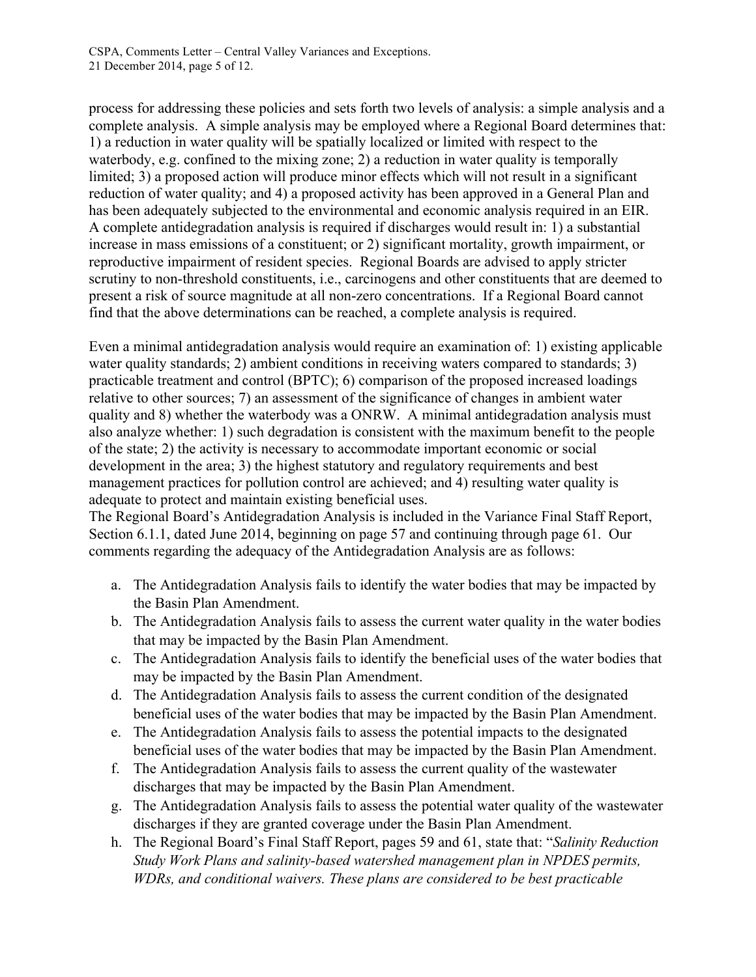process for addressing these policies and sets forth two levels of analysis: a simple analysis and a complete analysis. A simple analysis may be employed where a Regional Board determines that: 1) a reduction in water quality will be spatially localized or limited with respect to the waterbody, e.g. confined to the mixing zone; 2) a reduction in water quality is temporally limited; 3) a proposed action will produce minor effects which will not result in a significant reduction of water quality; and 4) a proposed activity has been approved in a General Plan and has been adequately subjected to the environmental and economic analysis required in an EIR. A complete antidegradation analysis is required if discharges would result in: 1) a substantial increase in mass emissions of a constituent; or 2) significant mortality, growth impairment, or reproductive impairment of resident species. Regional Boards are advised to apply stricter scrutiny to non-threshold constituents, i.e., carcinogens and other constituents that are deemed to present a risk of source magnitude at all non-zero concentrations. If a Regional Board cannot find that the above determinations can be reached, a complete analysis is required.

Even a minimal antidegradation analysis would require an examination of: 1) existing applicable water quality standards; 2) ambient conditions in receiving waters compared to standards; 3) practicable treatment and control (BPTC); 6) comparison of the proposed increased loadings relative to other sources; 7) an assessment of the significance of changes in ambient water quality and 8) whether the waterbody was a ONRW. A minimal antidegradation analysis must also analyze whether: 1) such degradation is consistent with the maximum benefit to the people of the state; 2) the activity is necessary to accommodate important economic or social development in the area; 3) the highest statutory and regulatory requirements and best management practices for pollution control are achieved; and 4) resulting water quality is adequate to protect and maintain existing beneficial uses.

The Regional Board's Antidegradation Analysis is included in the Variance Final Staff Report, Section 6.1.1, dated June 2014, beginning on page 57 and continuing through page 61. Our comments regarding the adequacy of the Antidegradation Analysis are as follows:

- a. The Antidegradation Analysis fails to identify the water bodies that may be impacted by the Basin Plan Amendment.
- b. The Antidegradation Analysis fails to assess the current water quality in the water bodies that may be impacted by the Basin Plan Amendment.
- c. The Antidegradation Analysis fails to identify the beneficial uses of the water bodies that may be impacted by the Basin Plan Amendment.
- d. The Antidegradation Analysis fails to assess the current condition of the designated beneficial uses of the water bodies that may be impacted by the Basin Plan Amendment.
- e. The Antidegradation Analysis fails to assess the potential impacts to the designated beneficial uses of the water bodies that may be impacted by the Basin Plan Amendment.
- f. The Antidegradation Analysis fails to assess the current quality of the wastewater discharges that may be impacted by the Basin Plan Amendment.
- g. The Antidegradation Analysis fails to assess the potential water quality of the wastewater discharges if they are granted coverage under the Basin Plan Amendment.
- h. The Regional Board's Final Staff Report, pages 59 and 61, state that: "*Salinity Reduction Study Work Plans and salinity-based watershed management plan in NPDES permits, WDRs, and conditional waivers. These plans are considered to be best practicable*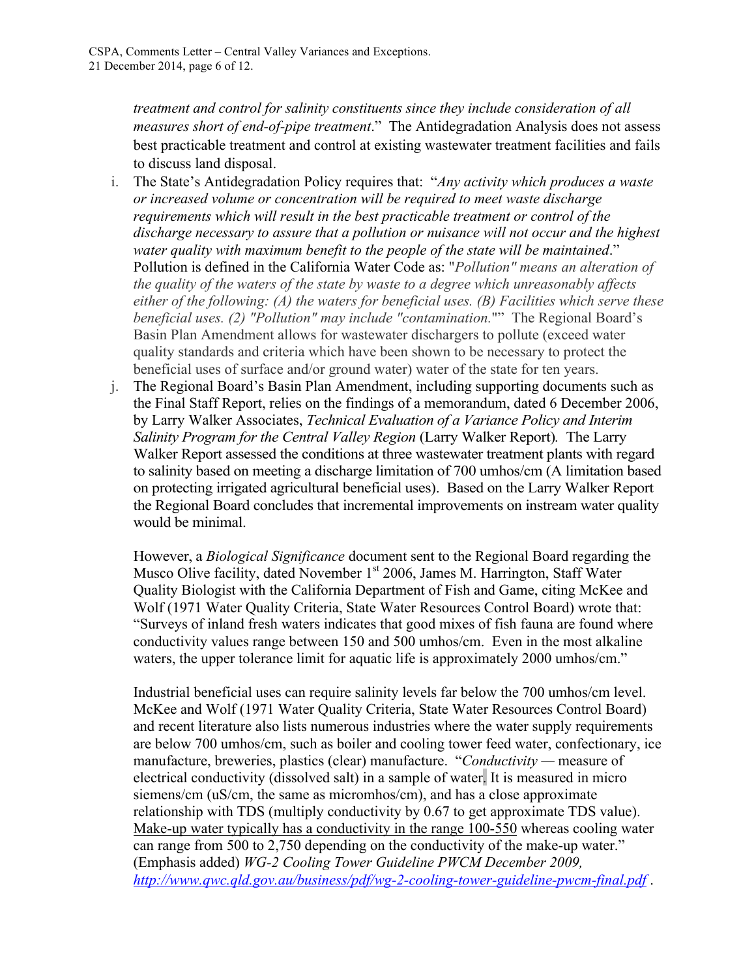*treatment and control for salinity constituents since they include consideration of all measures short of end-of-pipe treatment*." The Antidegradation Analysis does not assess best practicable treatment and control at existing wastewater treatment facilities and fails to discuss land disposal.

- i. The State's Antidegradation Policy requires that: "*Any activity which produces a waste or increased volume or concentration will be required to meet waste discharge requirements which will result in the best practicable treatment or control of the discharge necessary to assure that a pollution or nuisance will not occur and the highest water quality with maximum benefit to the people of the state will be maintained*." Pollution is defined in the California Water Code as: "*Pollution" means an alteration of the quality of the waters of the state by waste to a degree which unreasonably affects either of the following: (A) the waters for beneficial uses. (B) Facilities which serve these beneficial uses. (2) "Pollution" may include "contamination.*"" The Regional Board's Basin Plan Amendment allows for wastewater dischargers to pollute (exceed water quality standards and criteria which have been shown to be necessary to protect the beneficial uses of surface and/or ground water) water of the state for ten years.
- j. The Regional Board's Basin Plan Amendment, including supporting documents such as the Final Staff Report, relies on the findings of a memorandum, dated 6 December 2006, by Larry Walker Associates, *Technical Evaluation of a Variance Policy and Interim Salinity Program for the Central Valley Region* (Larry Walker Report)*.* The Larry Walker Report assessed the conditions at three wastewater treatment plants with regard to salinity based on meeting a discharge limitation of 700 umhos/cm (A limitation based on protecting irrigated agricultural beneficial uses). Based on the Larry Walker Report the Regional Board concludes that incremental improvements on instream water quality would be minimal.

However, a *Biological Significance* document sent to the Regional Board regarding the Musco Olive facility, dated November 1<sup>st</sup> 2006, James M. Harrington, Staff Water Quality Biologist with the California Department of Fish and Game, citing McKee and Wolf (1971 Water Quality Criteria, State Water Resources Control Board) wrote that: "Surveys of inland fresh waters indicates that good mixes of fish fauna are found where conductivity values range between 150 and 500 umhos/cm. Even in the most alkaline waters, the upper tolerance limit for aquatic life is approximately 2000 umhos/cm."

Industrial beneficial uses can require salinity levels far below the 700 umhos/cm level. McKee and Wolf (1971 Water Quality Criteria, State Water Resources Control Board) and recent literature also lists numerous industries where the water supply requirements are below 700 umhos/cm, such as boiler and cooling tower feed water, confectionary, ice manufacture, breweries, plastics (clear) manufacture. "*Conductivity —* measure of electrical conductivity (dissolved salt) in a sample of water. It is measured in micro siemens/cm (uS/cm, the same as micromhos/cm), and has a close approximate relationship with TDS (multiply conductivity by 0.67 to get approximate TDS value). Make-up water typically has a conductivity in the range 100-550 whereas cooling water can range from 500 to 2,750 depending on the conductivity of the make-up water." (Emphasis added) *WG-2 Cooling Tower Guideline PWCM December 2009, http://www.qwc.qld.gov.au/business/pdf/wg-2-cooling-tower-guideline-pwcm-final.pdf* .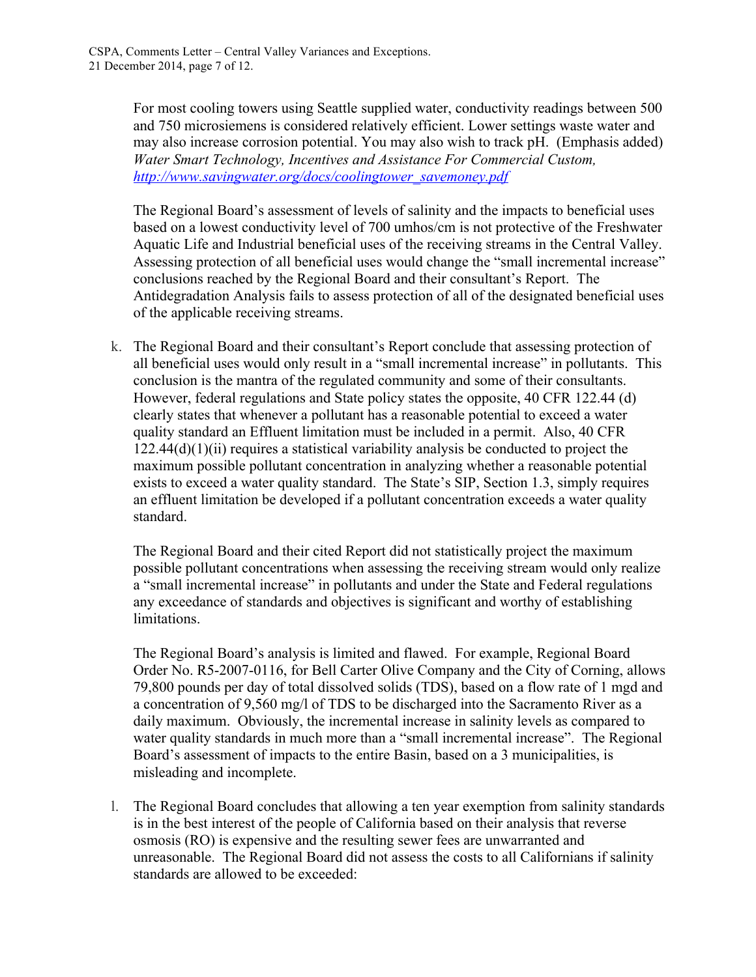For most cooling towers using Seattle supplied water, conductivity readings between 500 and 750 microsiemens is considered relatively efficient. Lower settings waste water and may also increase corrosion potential. You may also wish to track pH. (Emphasis added) *Water Smart Technology, Incentives and Assistance For Commercial Custom, http://www.savingwater.org/docs/coolingtower\_savemoney.pdf* 

The Regional Board's assessment of levels of salinity and the impacts to beneficial uses based on a lowest conductivity level of 700 umhos/cm is not protective of the Freshwater Aquatic Life and Industrial beneficial uses of the receiving streams in the Central Valley. Assessing protection of all beneficial uses would change the "small incremental increase" conclusions reached by the Regional Board and their consultant's Report. The Antidegradation Analysis fails to assess protection of all of the designated beneficial uses of the applicable receiving streams.

k. The Regional Board and their consultant's Report conclude that assessing protection of all beneficial uses would only result in a "small incremental increase" in pollutants. This conclusion is the mantra of the regulated community and some of their consultants. However, federal regulations and State policy states the opposite, 40 CFR 122.44 (d) clearly states that whenever a pollutant has a reasonable potential to exceed a water quality standard an Effluent limitation must be included in a permit. Also, 40 CFR 122.44(d)(1)(ii) requires a statistical variability analysis be conducted to project the maximum possible pollutant concentration in analyzing whether a reasonable potential exists to exceed a water quality standard. The State's SIP, Section 1.3, simply requires an effluent limitation be developed if a pollutant concentration exceeds a water quality standard.

The Regional Board and their cited Report did not statistically project the maximum possible pollutant concentrations when assessing the receiving stream would only realize a "small incremental increase" in pollutants and under the State and Federal regulations any exceedance of standards and objectives is significant and worthy of establishing limitations.

The Regional Board's analysis is limited and flawed. For example, Regional Board Order No. R5-2007-0116, for Bell Carter Olive Company and the City of Corning, allows 79,800 pounds per day of total dissolved solids (TDS), based on a flow rate of 1 mgd and a concentration of 9,560 mg/l of TDS to be discharged into the Sacramento River as a daily maximum. Obviously, the incremental increase in salinity levels as compared to water quality standards in much more than a "small incremental increase". The Regional Board's assessment of impacts to the entire Basin, based on a 3 municipalities, is misleading and incomplete.

l. The Regional Board concludes that allowing a ten year exemption from salinity standards is in the best interest of the people of California based on their analysis that reverse osmosis (RO) is expensive and the resulting sewer fees are unwarranted and unreasonable. The Regional Board did not assess the costs to all Californians if salinity standards are allowed to be exceeded: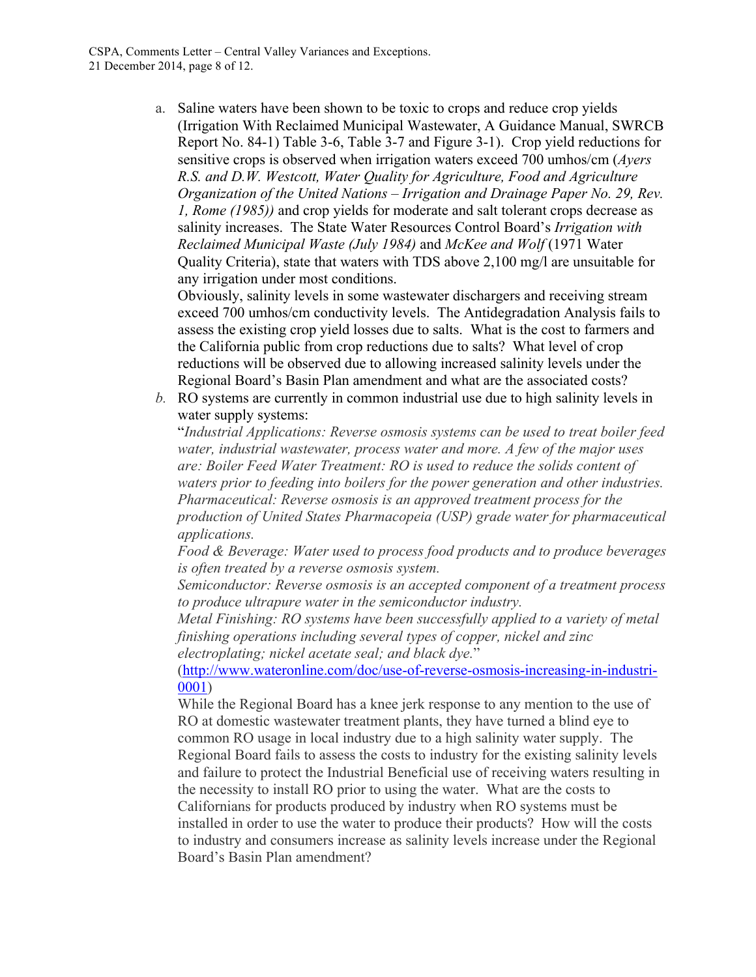a. Saline waters have been shown to be toxic to crops and reduce crop yields (Irrigation With Reclaimed Municipal Wastewater, A Guidance Manual, SWRCB Report No. 84-1) Table 3-6, Table 3-7 and Figure 3-1). Crop yield reductions for sensitive crops is observed when irrigation waters exceed 700 umhos/cm (*Ayers R.S. and D.W. Westcott, Water Quality for Agriculture, Food and Agriculture Organization of the United Nations – Irrigation and Drainage Paper No. 29, Rev. 1, Rome (1985))* and crop yields for moderate and salt tolerant crops decrease as salinity increases. The State Water Resources Control Board's *Irrigation with Reclaimed Municipal Waste (July 1984)* and *McKee and Wolf* (1971 Water Quality Criteria), state that waters with TDS above 2,100 mg/l are unsuitable for any irrigation under most conditions.

Obviously, salinity levels in some wastewater dischargers and receiving stream exceed 700 umhos/cm conductivity levels. The Antidegradation Analysis fails to assess the existing crop yield losses due to salts. What is the cost to farmers and the California public from crop reductions due to salts? What level of crop reductions will be observed due to allowing increased salinity levels under the Regional Board's Basin Plan amendment and what are the associated costs?

*b.* RO systems are currently in common industrial use due to high salinity levels in water supply systems:

"*Industrial Applications: Reverse osmosis systems can be used to treat boiler feed water, industrial wastewater, process water and more. A few of the major uses are: Boiler Feed Water Treatment: RO is used to reduce the solids content of waters prior to feeding into boilers for the power generation and other industries. Pharmaceutical: Reverse osmosis is an approved treatment process for the production of United States Pharmacopeia (USP) grade water for pharmaceutical applications.*

*Food & Beverage: Water used to process food products and to produce beverages is often treated by a reverse osmosis system.*

*Semiconductor: Reverse osmosis is an accepted component of a treatment process to produce ultrapure water in the semiconductor industry.*

*Metal Finishing: RO systems have been successfully applied to a variety of metal finishing operations including several types of copper, nickel and zinc electroplating; nickel acetate seal; and black dye.*"

(http://www.wateronline.com/doc/use-of-reverse-osmosis-increasing-in-industri-0001)

While the Regional Board has a knee jerk response to any mention to the use of RO at domestic wastewater treatment plants, they have turned a blind eye to common RO usage in local industry due to a high salinity water supply. The Regional Board fails to assess the costs to industry for the existing salinity levels and failure to protect the Industrial Beneficial use of receiving waters resulting in the necessity to install RO prior to using the water. What are the costs to Californians for products produced by industry when RO systems must be installed in order to use the water to produce their products? How will the costs to industry and consumers increase as salinity levels increase under the Regional Board's Basin Plan amendment?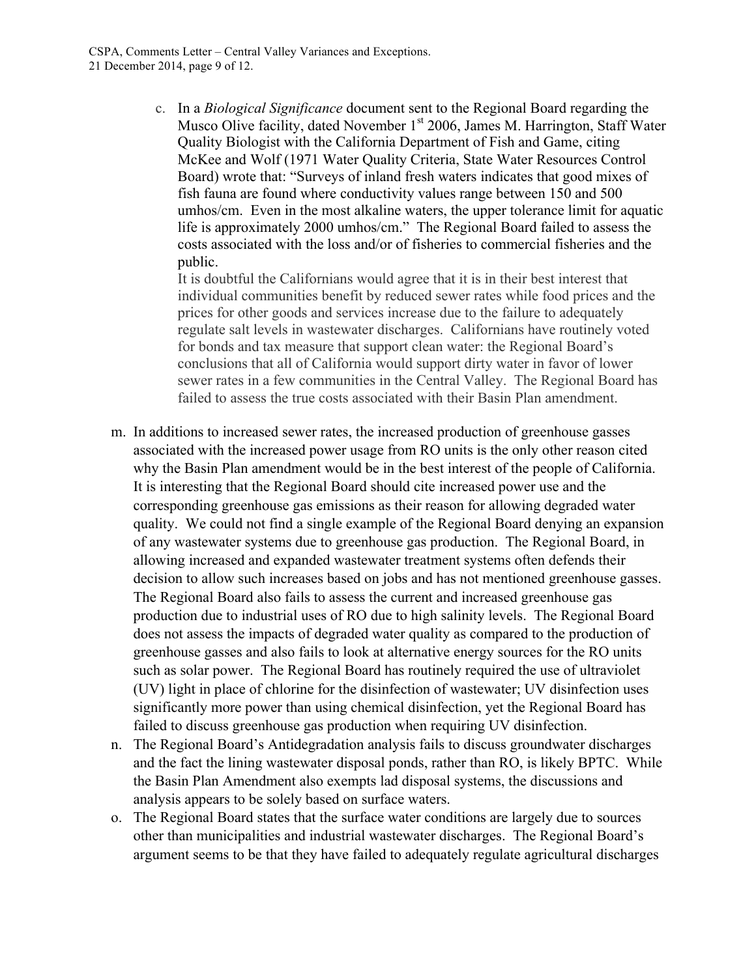c. In a *Biological Significance* document sent to the Regional Board regarding the Musco Olive facility, dated November 1<sup>st</sup> 2006, James M. Harrington, Staff Water Quality Biologist with the California Department of Fish and Game, citing McKee and Wolf (1971 Water Quality Criteria, State Water Resources Control Board) wrote that: "Surveys of inland fresh waters indicates that good mixes of fish fauna are found where conductivity values range between 150 and 500 umhos/cm. Even in the most alkaline waters, the upper tolerance limit for aquatic life is approximately 2000 umhos/cm." The Regional Board failed to assess the costs associated with the loss and/or of fisheries to commercial fisheries and the public.

It is doubtful the Californians would agree that it is in their best interest that individual communities benefit by reduced sewer rates while food prices and the prices for other goods and services increase due to the failure to adequately regulate salt levels in wastewater discharges. Californians have routinely voted for bonds and tax measure that support clean water: the Regional Board's conclusions that all of California would support dirty water in favor of lower sewer rates in a few communities in the Central Valley. The Regional Board has failed to assess the true costs associated with their Basin Plan amendment.

- m. In additions to increased sewer rates, the increased production of greenhouse gasses associated with the increased power usage from RO units is the only other reason cited why the Basin Plan amendment would be in the best interest of the people of California. It is interesting that the Regional Board should cite increased power use and the corresponding greenhouse gas emissions as their reason for allowing degraded water quality. We could not find a single example of the Regional Board denying an expansion of any wastewater systems due to greenhouse gas production. The Regional Board, in allowing increased and expanded wastewater treatment systems often defends their decision to allow such increases based on jobs and has not mentioned greenhouse gasses. The Regional Board also fails to assess the current and increased greenhouse gas production due to industrial uses of RO due to high salinity levels. The Regional Board does not assess the impacts of degraded water quality as compared to the production of greenhouse gasses and also fails to look at alternative energy sources for the RO units such as solar power. The Regional Board has routinely required the use of ultraviolet (UV) light in place of chlorine for the disinfection of wastewater; UV disinfection uses significantly more power than using chemical disinfection, yet the Regional Board has failed to discuss greenhouse gas production when requiring UV disinfection.
- n. The Regional Board's Antidegradation analysis fails to discuss groundwater discharges and the fact the lining wastewater disposal ponds, rather than RO, is likely BPTC. While the Basin Plan Amendment also exempts lad disposal systems, the discussions and analysis appears to be solely based on surface waters.
- o. The Regional Board states that the surface water conditions are largely due to sources other than municipalities and industrial wastewater discharges. The Regional Board's argument seems to be that they have failed to adequately regulate agricultural discharges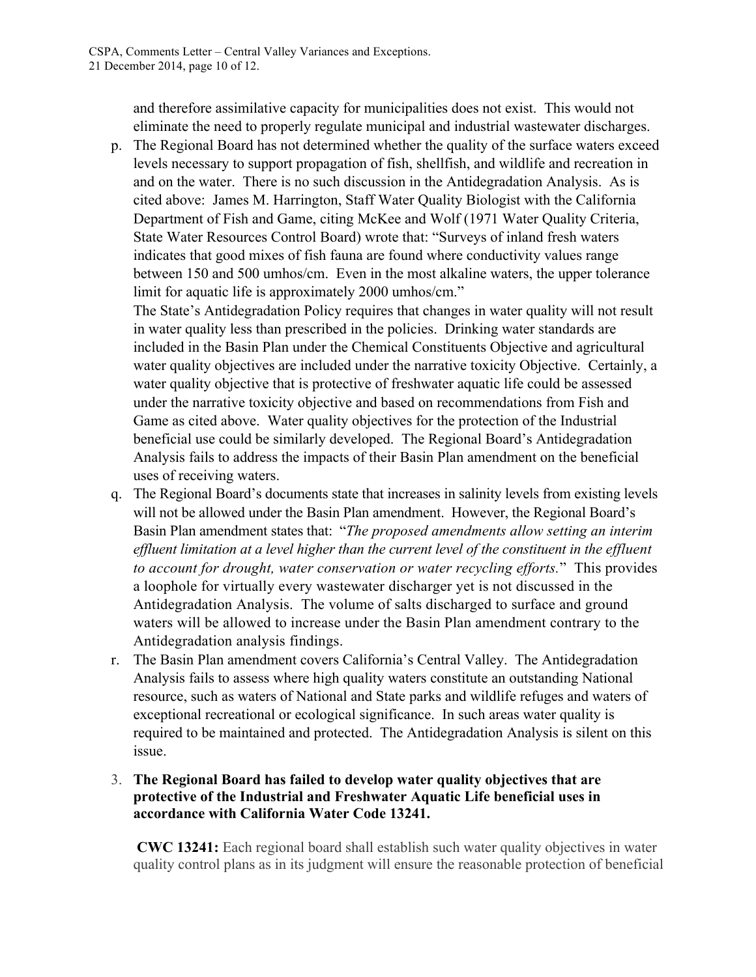and therefore assimilative capacity for municipalities does not exist. This would not eliminate the need to properly regulate municipal and industrial wastewater discharges.

p. The Regional Board has not determined whether the quality of the surface waters exceed levels necessary to support propagation of fish, shellfish, and wildlife and recreation in and on the water. There is no such discussion in the Antidegradation Analysis. As is cited above: James M. Harrington, Staff Water Quality Biologist with the California Department of Fish and Game, citing McKee and Wolf (1971 Water Quality Criteria, State Water Resources Control Board) wrote that: "Surveys of inland fresh waters indicates that good mixes of fish fauna are found where conductivity values range between 150 and 500 umhos/cm. Even in the most alkaline waters, the upper tolerance limit for aquatic life is approximately 2000 umhos/cm."

The State's Antidegradation Policy requires that changes in water quality will not result in water quality less than prescribed in the policies. Drinking water standards are included in the Basin Plan under the Chemical Constituents Objective and agricultural water quality objectives are included under the narrative toxicity Objective. Certainly, a water quality objective that is protective of freshwater aquatic life could be assessed under the narrative toxicity objective and based on recommendations from Fish and Game as cited above. Water quality objectives for the protection of the Industrial beneficial use could be similarly developed. The Regional Board's Antidegradation Analysis fails to address the impacts of their Basin Plan amendment on the beneficial uses of receiving waters.

- q. The Regional Board's documents state that increases in salinity levels from existing levels will not be allowed under the Basin Plan amendment. However, the Regional Board's Basin Plan amendment states that: "*The proposed amendments allow setting an interim*  effluent limitation at a level higher than the current level of the constituent in the effluent *to account for drought, water conservation or water recycling efforts.*" This provides a loophole for virtually every wastewater discharger yet is not discussed in the Antidegradation Analysis. The volume of salts discharged to surface and ground waters will be allowed to increase under the Basin Plan amendment contrary to the Antidegradation analysis findings.
- r. The Basin Plan amendment covers California's Central Valley. The Antidegradation Analysis fails to assess where high quality waters constitute an outstanding National resource, such as waters of National and State parks and wildlife refuges and waters of exceptional recreational or ecological significance. In such areas water quality is required to be maintained and protected. The Antidegradation Analysis is silent on this issue.

#### 3. **The Regional Board has failed to develop water quality objectives that are protective of the Industrial and Freshwater Aquatic Life beneficial uses in accordance with California Water Code 13241.**

 **CWC 13241:** Each regional board shall establish such water quality objectives in water quality control plans as in its judgment will ensure the reasonable protection of beneficial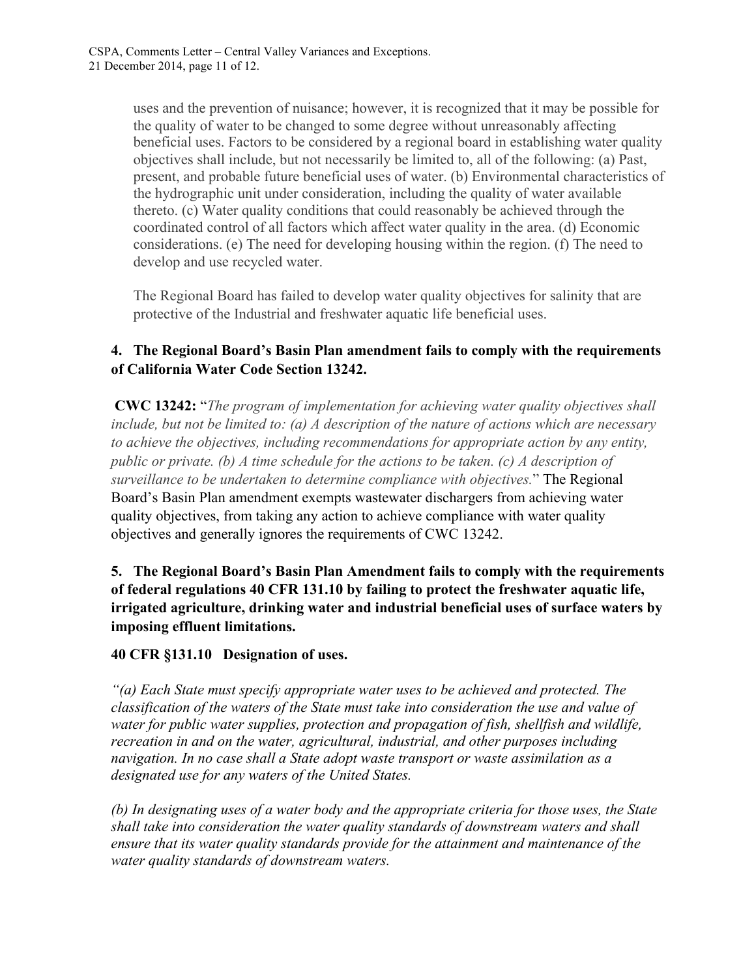uses and the prevention of nuisance; however, it is recognized that it may be possible for the quality of water to be changed to some degree without unreasonably affecting beneficial uses. Factors to be considered by a regional board in establishing water quality objectives shall include, but not necessarily be limited to, all of the following: (a) Past, present, and probable future beneficial uses of water. (b) Environmental characteristics of the hydrographic unit under consideration, including the quality of water available thereto. (c) Water quality conditions that could reasonably be achieved through the coordinated control of all factors which affect water quality in the area. (d) Economic considerations. (e) The need for developing housing within the region. (f) The need to develop and use recycled water.

The Regional Board has failed to develop water quality objectives for salinity that are protective of the Industrial and freshwater aquatic life beneficial uses.

## **4. The Regional Board's Basin Plan amendment fails to comply with the requirements of California Water Code Section 13242.**

 **CWC 13242:** "*The program of implementation for achieving water quality objectives shall include, but not be limited to: (a) A description of the nature of actions which are necessary to achieve the objectives, including recommendations for appropriate action by any entity, public or private. (b) A time schedule for the actions to be taken. (c) A description of surveillance to be undertaken to determine compliance with objectives.*" The Regional Board's Basin Plan amendment exempts wastewater dischargers from achieving water quality objectives, from taking any action to achieve compliance with water quality objectives and generally ignores the requirements of CWC 13242.

**5. The Regional Board's Basin Plan Amendment fails to comply with the requirements of federal regulations 40 CFR 131.10 by failing to protect the freshwater aquatic life, irrigated agriculture, drinking water and industrial beneficial uses of surface waters by imposing effluent limitations.**

#### **40 CFR §131.10 Designation of uses.**

*"(a) Each State must specify appropriate water uses to be achieved and protected. The classification of the waters of the State must take into consideration the use and value of water for public water supplies, protection and propagation of fish, shellfish and wildlife, recreation in and on the water, agricultural, industrial, and other purposes including navigation. In no case shall a State adopt waste transport or waste assimilation as a designated use for any waters of the United States.*

*(b) In designating uses of a water body and the appropriate criteria for those uses, the State shall take into consideration the water quality standards of downstream waters and shall ensure that its water quality standards provide for the attainment and maintenance of the water quality standards of downstream waters.*